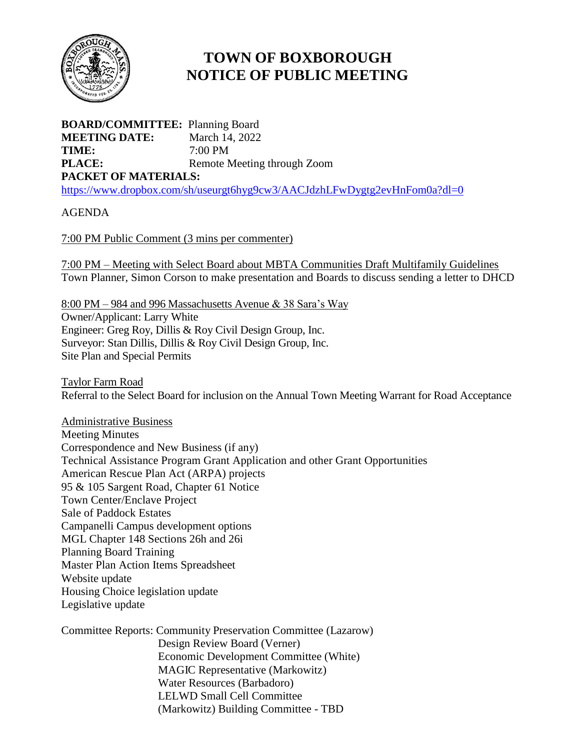

## **TOWN OF BOXBOROUGH NOTICE OF PUBLIC MEETING**

**BOARD/COMMITTEE:** Planning Board **MEETING DATE:** March 14, 2022 **TIME:** 7:00 PM **PLACE:** Remote Meeting through Zoom **PACKET OF MATERIALS:** <https://www.dropbox.com/sh/useurgt6hyg9cw3/AACJdzhLFwDygtg2evHnFom0a?dl=0>

AGENDA

7:00 PM Public Comment (3 mins per commenter)

7:00 PM – Meeting with Select Board about MBTA Communities Draft Multifamily Guidelines Town Planner, Simon Corson to make presentation and Boards to discuss sending a letter to DHCD

8:00 PM – 984 and 996 Massachusetts Avenue & 38 Sara's Way Owner/Applicant: Larry White Engineer: Greg Roy, Dillis & Roy Civil Design Group, Inc. Surveyor: Stan Dillis, Dillis & Roy Civil Design Group, Inc. Site Plan and Special Permits

Taylor Farm Road Referral to the Select Board for inclusion on the Annual Town Meeting Warrant for Road Acceptance

Administrative Business Meeting Minutes Correspondence and New Business (if any) Technical Assistance Program Grant Application and other Grant Opportunities American Rescue Plan Act (ARPA) projects 95 & 105 Sargent Road, Chapter 61 Notice Town Center/Enclave Project Sale of Paddock Estates Campanelli Campus development options MGL Chapter 148 Sections 26h and 26i Planning Board Training Master Plan Action Items Spreadsheet Website update Housing Choice legislation update Legislative update

Committee Reports: Community Preservation Committee (Lazarow) Design Review Board (Verner) Economic Development Committee (White) MAGIC Representative (Markowitz) Water Resources (Barbadoro) LELWD Small Cell Committee (Markowitz) Building Committee - TBD